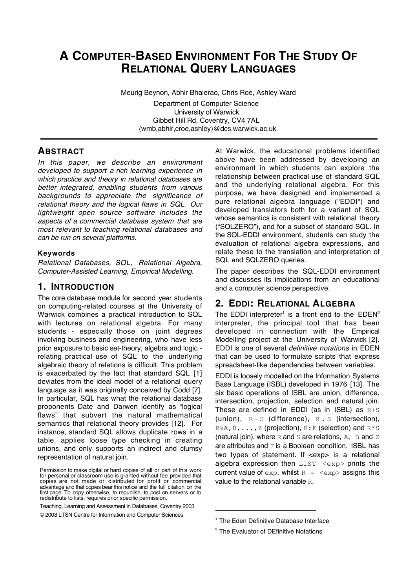# **A COMPUTER-BASED ENVIRONMENT FOR THE STUDY OF RELATIONAL QUERY LANGUAGES**

Meurig Beynon, Abhir Bhalerao, Chris Roe, Ashley Ward

Department of Computer Science University of Warwick Gibbet Hill Rd, Coventry, CV4 7AL {wmb,abhir,croe,ashley}@dcs.warwick.ac.uk

# **ABSTRACT**

In this paper, we describe an environment developed to support a rich learning experience in which practice and theory in relational databases are better integrated, enabling students from various backgrounds to appreciate the significance of relational theory and the logical flaws in SQL. Our lightweight open source software includes the aspects of a commercial database system that are most relevant to teaching relational databases and can be run on several platforms.

### **Keywords**

Relational Databases, SQL, Relational Algebra, Computer-Assisted Learning, Empirical Modelling.

# **1. INTRODUCTION**

The core database module for second year students on computing-related courses at the University of Warwick combines a practical introduction to SQL with lectures on relational algebra. For many students - especially those on joint degrees involving business and engineering, who have less prior exposure to basic set-theory, algebra and logic relating practical use of SQL to the underlying algebraic theory of relations is difficult. This problem is exacerbated by the fact that standard SQL [1] deviates from the ideal model of a relational query language as it was originally conceived by Codd [7]. In particular, SQL has what the relational database proponents Date and Darwen identify as "logical flaws" that subvert the natural mathematical semantics that relational theory provides [12]. For instance, standard SQL allows duplicate rows in a table, applies loose type checking in creating unions, and only supports an indirect and clumsy representation of natural join.

Teaching, Learning and Assessment in Databases, Coventry 2003

At Warwick, the educational problems identified above have been addressed by developing an environment in which students can explore the relationship between practical use of standard SQL and the underlying relational algebra. For this purpose, we have designed and implemented a pure relational algebra language ("EDDI") and developed translators both for a variant of SQL whose semantics is consistent with relational theory ("SQLZERO"), and for a subset of standard SQL. In the SQL-EDDI environment, students can study the evaluation of relational algebra expressions, and relate these to the translation and interpretation of SQL and SQLZERO queries.

The paper describes the SQL-EDDI environment and discusses its implications from an educational and a computer science perspective.

# **2. EDDI: RELATIONAL ALGEBRA**

The EDDI interpreter<sup>1</sup> is a front end to the  $EDEN<sup>2</sup>$ interpreter, the principal tool that has been developed in connection with the Empirical Modelling project at the University of Warwick [2]. EDDI is one of several definitive notations in EDEN that can be used to formulate scripts that express spreadsheet-like dependencies between variables.

EDDI is loosely modelled on the Information Systems Base Language (ISBL) developed in 1976 [13]. The six basic operations of ISBL are union, difference, intersection, projection, selection and natural join. These are defined in EDDI (as in ISBL) as  $R+S$ (union),  $R-S$  (difference),  $R.S$  (intersection),  $R$ %A, B, ..., Z (projection), R: F (selection) and  $R$ \*S (natural join), where  $R$  and  $S$  are relations,  $A$ ,  $B$  and  $Z$ are attributes and  $F$  is a Boolean condition. ISBL has two types of statement. If <exp> is a relational algebra expression then LIST <exp> prints the current value of  $\exp$ , whilst  $R = \exp$  assigns this value to the relational variable R.

-

Permission to make digital or hard copies of all or part of this work for personal or classroom use is granted without fee provided that copies are not made or distributed for profit or commercial advantage and that copies bear this notice and the full citation on the first page. To copy otherwise, to republish, to post on servers or to redistribute to lists, requires prior specific permission.

<sup>© 2003</sup> LTSN Centre for Information and Computer Sciences

<sup>&</sup>lt;sup>1</sup> The Eden Definitive Database Interface

<sup>&</sup>lt;sup>2</sup> The Evaluator of DEfinitive Notations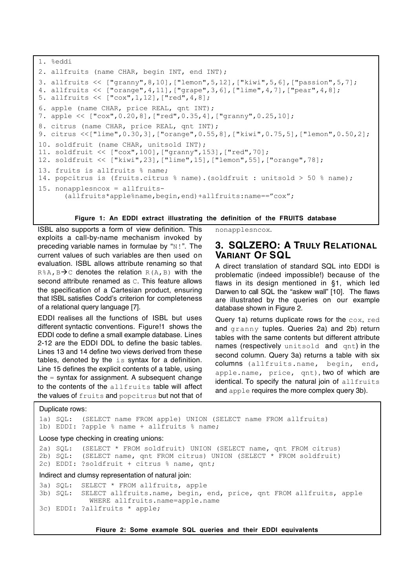```
1. %eddi
2. allfruits (name CHAR, begin INT, end INT);
3. allfruits << ["granny",8,10],["lemon",5,12],["kiwi",5,6],["passion",5,7];
4. allfruits << ["orange",4,11],["grape",3,6],["lime",4,7],["pear",4,8];
5. allfruits << ["cox",1,12],["red",4,8];
6. apple (name CHAR, price REAL, qnt INT);
7. apple << ["cox",0.20,8],["red",0.35,4],["granny",0.25,10];
8. citrus (name CHAR, price REAL, qnt INT);
9. citrus <<["lime",0.30,3],["orange",0.55,8],["kiwi",0.75,5],["lemon",0.50,2];
10. soldfruit (name CHAR, unitsold INT);
11. soldfruit << ["cox",100],["granny",153],["red",70];
12. soldfruit << ["kiwi",23],["lime",15],["lemon",55],["orange",78];
13. fruits is allfruits % name;
14. popcitrus is (fruits.citrus % name).(soldfruit : unitsold > 50 % name);
15. nonapplesncox = allfruits-
       (allfruits*apple%name,begin,end)+allfruits:name=="cox";
```
#### **Figure 1: An EDDI extract illustrating the definition of the FRUITS database**

ISBL also supports a form of view definition. This exploits a call-by-name mechanism invoked by preceding variable names in formulae by " $N!$ ". The current values of such variables are then used on evaluation. ISBL allows attribute renaming so that  $R$ & $A$ ,  $B \rightarrow C$  denotes the relation  $R(A, B)$  with the second attribute renamed as  $\mathbb C$ . This feature allows the specification of a Cartesian product, ensuring that ISBL satisfies Codd's criterion for completeness of a relational query language [7].

EDDI realises all the functions of ISBL but uses different syntactic conventions. Figure!1 shows the EDDI code to define a small example database. Lines 2-12 are the EDDI DDL to define the basic tables. Lines 13 and 14 define two views derived from these tables, denoted by the is syntax for a definition. Line 15 defines the explicit contents of a table, using the = syntax for assignment. A subsequent change to the contents of the allfruits table will affect the values of fruits and popcitrus but not that of

nonapplesncox.

### **3. SQLZERO: A TRULY RELATIONAL VARIANT OF SQL**

A direct translation of standard SQL into EDDI is problematic (indeed impossible!) because of the flaws in its design mentioned in §1, which led Darwen to call SQL the "askew wall" [10]. The flaws are illustrated by the queries on our example database shown in Figure 2.

Query 1a) returns duplicate rows for the cox, red and granny tuples. Queries 2a) and 2b) return tables with the same contents but different attribute names (respectively unitsold and qnt) in the second column. Query 3a) returns a table with six columns (allfruits.name, begin, end, apple.name, price, qnt), two of which are identical. To specify the natural join of allfruits and apple requires the more complex query 3b).

#### Duplicate rows:

1a) SQL: (SELECT name FROM apple) UNION (SELECT name FROM allfruits) 1b) EDDI: ?apple % name + allfruits % name; Loose type checking in creating unions: 2a) SQL: (SELECT \* FROM soldfruit) UNION (SELECT name, qnt FROM citrus) 2b) SQL: (SELECT name, qnt FROM citrus) UNION (SELECT \* FROM soldfruit) 2c) EDDI: ?soldfruit + citrus % name, qnt; Indirect and clumsy representation of natural join: 3a) SQL: SELECT \* FROM allfruits, apple 3b) SQL: SELECT allfruits.name, begin, end, price, qnt FROM allfruits, apple WHERE allfruits.name=apple.name 3c) EDDI: ?allfruits \* apple;

**Figure 2: Some example SQL queries and their EDDI equivalents**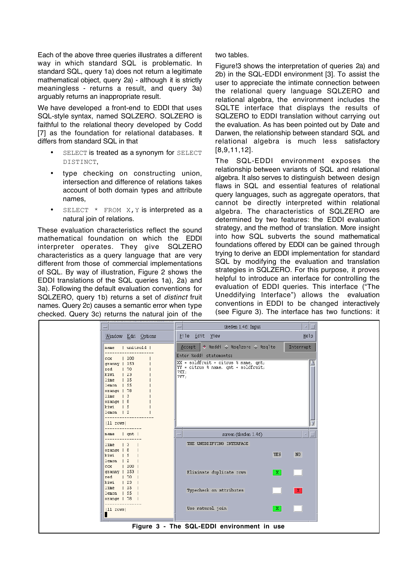Each of the above three queries illustrates a different way in which standard SQL is problematic. In standard SQL, query 1a) does not return a legitimate mathematical object, query 2a) - although it is strictly meaningless - returns a result, and query 3a) arguably returns an inappropriate result.

We have developed a front-end to EDDI that uses SQL-style syntax, named SQLZERO. SQLZERO is faithful to the relational theory developed by Codd [7] as the foundation for relational databases. It differs from standard SQL in that

> SELECT is treated as a synonym for SELECT DISTINCT,

> type checking on constructing union, intersection and difference of relations takes account of both domain types and attribute names,

> SELECT \* FROM X, Y is interpreted as a natural join of relations.

These evaluation characteristics reflect the sound mathematical foundation on which the EDDI interpreter operates. They give SQLZERO characteristics as a query language that are very different from those of commercial implementations of SQL. By way of illustration, Figure 2 shows the EDDI translations of the SQL queries 1a), 2a) and 3a). Following the default evaluation conventions for SQLZERO, query 1b) returns a set of distinct fruit names. Query 2c) causes a semantic error when type checked. Query 3c) returns the natural join of the two tables.

Figure!3 shows the interpretation of queries 2a) and 2b) in the SQL-EDDI environment [3]. To assist the user to appreciate the intimate connection between the relational query language SQLZERO and relational algebra, the environment includes the SQLTE interface that displays the results of SQLZERO to EDDI translation without carrying out the evaluation. As has been pointed out by Date and Darwen, the relationship between standard SQL and relational algebra is much less satisfactory [8,9,11,12].

The SQL-EDDI environment exposes the relationship between variants of SQL and relational algebra. It also serves to distinguish between design flaws in SQL and essential features of relational query languages, such as aggregate operators, that cannot be directly interpreted within relational algebra. The characteristics of SQLZERO are determined by two features: the EDDI evaluation strategy, and the method of translation. More insight into how SQL subverts the sound mathematical foundations offered by EDDI can be gained through trying to derive an EDDI implementation for standard SQL by modifying the evaluation and translation strategies in SQLZERO. For this purpose, it proves helpful to introduce an interface for controlling the evaluation of EDDI queries. This interface ("The Uneddifying Interface") allows the evaluation conventions in EDDI to be changed interactively (see Figure 3). The interface has two functions: it

|                                                                                                                                                                                                                                        | tkeden 1.46: Input<br>$\mathbf{u}$<br>ı                                                                                 |
|----------------------------------------------------------------------------------------------------------------------------------------------------------------------------------------------------------------------------------------|-------------------------------------------------------------------------------------------------------------------------|
| Window Edit Options                                                                                                                                                                                                                    | Help<br>File Edit View                                                                                                  |
| unitsold  <br>name                                                                                                                                                                                                                     | Seddi ↓ %sqlzero → %sqlte *<br>Interrupt<br>Accept                                                                      |
| 100<br>COX.<br>granny   153<br> 70<br>red<br>$\vert$ 23<br>kiwi<br>$\frac{1}{5}$<br>lime<br>$\frac{1}{55}$<br>lemon<br>orange   78<br>lime<br>$\vert$ 3<br>$orange$   8<br>kiwi<br>$\frac{1}{5}$<br>$lemon$   2<br>$(11 \text{ rows})$ | Enter %eddi statements:<br>XX = soldfruit + citrus % name, qnt;<br>YY = citrus % name, qnt + soldfruit;<br>?XX;<br>?YY; |
| $\vert$ qnt $\vert$                                                                                                                                                                                                                    |                                                                                                                         |
| name<br>$\vert$ 3<br>lime                                                                                                                                                                                                              | screen (tkeden 1.46)<br>THE UNEDDIFYING INTERFACE                                                                       |
| $orange$   8<br>kiwi<br>$\frac{1}{5}$<br>$\frac{1}{2}$<br>lemon<br> 100 <br>COX                                                                                                                                                        | $_{\rm N0}$<br><b>YES</b>                                                                                               |
| $granny + 153$<br>red<br> 70<br>kiwi<br>123                                                                                                                                                                                            | Eliminate duplicate rows<br>$\lceil x \rceil$                                                                           |
| 115<br>lime<br>155<br>lemon<br>$orange$   78                                                                                                                                                                                           | Typecheck on attributes<br>$\mathbf{X}$                                                                                 |
| (11 rows)<br>П                                                                                                                                                                                                                         | Use natural join<br>$\mathbb{X}$                                                                                        |
|                                                                                                                                                                                                                                        | Figure 3 - The SQL-EDDI environment in use                                                                              |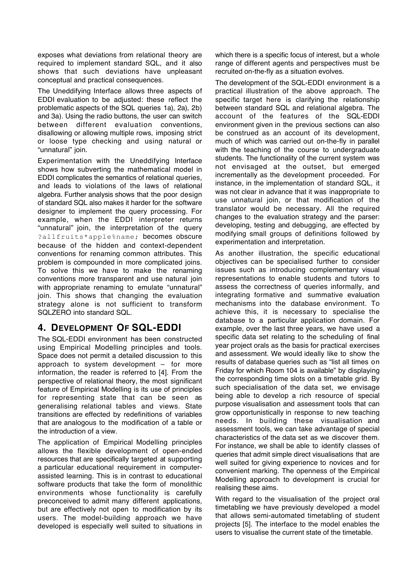exposes what deviations from relational theory are required to implement standard SQL, and it also shows that such deviations have unpleasant conceptual and practical consequences.

The Uneddifying Interface allows three aspects of EDDI evaluation to be adjusted: these reflect the problematic aspects of the SQL queries 1a), 2a), 2b) and 3a). Using the radio buttons, the user can switch between different evaluation conventions, disallowing or allowing multiple rows, imposing strict or loose type checking and using natural or "unnatural" join.

Experimentation with the Uneddifying Interface shows how subverting the mathematical model in EDDI complicates the semantics of relational queries, and leads to violations of the laws of relational algebra. Further analysis shows that the poor design of standard SQL also makes it harder for the software designer to implement the query processing. For example, when the EDDI interpreter returns "unnatural" join, the interpretation of the query ?allfruits\*apple%name; becomes obscure because of the hidden and context-dependent conventions for renaming common attributes. This problem is compounded in more complicated joins. To solve this we have to make the renaming conventions more transparent and use natural join with appropriate renaming to emulate "unnatural" join. This shows that changing the evaluation strategy alone is not sufficient to transform SQLZERO into standard SQL.

# **4. DEVELOPMENT OF SQL-EDDI**

The SQL-EDDI environment has been constructed using Empirical Modelling principles and tools. Space does not permit a detailed discussion to this approach to system development – for more information, the reader is referred to [4]. From the perspective of relational theory, the most significant feature of Empirical Modelling is its use of principles for representing state that can be seen as generalising relational tables and views. State transitions are effected by redefinitions of variables that are analogous to the modification of a table or the introduction of a view.

The application of Empirical Modelling principles allows the flexible development of open-ended resources that are specifically targeted at supporting a particular educational requirement in computerassisted learning. This is in contrast to educational software products that take the form of monolithic environments whose functionality is carefully preconceived to admit many different applications, but are effectively not open to modification by its users. The model-building approach we have developed is especially well suited to situations in which there is a specific focus of interest, but a whole range of different agents and perspectives must be recruited on-the-fly as a situation evolves.

The development of the SQL-EDDI environment is a practical illustration of the above approach. The specific target here is clarifying the relationship between standard SQL and relational algebra. The account of the features of the SQL-EDDI environment given in the previous sections can also be construed as an account of its development, much of which was carried out on-the-fly in parallel with the teaching of the course to undergraduate students. The functionality of the current system was not envisaged at the outset, but emerged incrementally as the development proceeded. For instance, in the implementation of standard SQL, it was not clear in advance that it was inappropriate to use unnatural join, or that modification of the translator would be necessary. All the required changes to the evaluation strategy and the parser: developing, testing and debugging, are effected by modifying small groups of definitions followed by experimentation and interpretation.

As another illustration, the specific educational objectives can be specialised further to consider issues such as introducing complementary visual representations to enable students and tutors to assess the correctness of queries informally, and integrating formative and summative evaluation mechanisms into the database environment. To achieve this, it is necessary to specialise the database to a particular application domain. For example, over the last three years, we have used a specific data set relating to the scheduling of final year project orals as the basis for practical exercises and assessment. We would ideally like to show the results of database queries such as "list all times on Friday for which Room 104 is available" by displaying the corresponding time slots on a timetable grid. By such specialisation of the data set, we envisage being able to develop a rich resource of special purpose visualisation and assessment tools that can grow opportunistically in response to new teaching needs. In building these visualisation and assessment tools, we can take advantage of special characteristics of the data set as we discover them. For instance, we shall be able to identify classes of queries that admit simple direct visualisations that are well suited for giving experience to novices and for convenient marking. The openness of the Empirical Modelling approach to development is crucial for realising these aims.

With regard to the visualisation of the project oral timetabling we have previously developed a model that allows semi-automated timetabling of student projects [5]. The interface to the model enables the users to visualise the current state of the timetable.